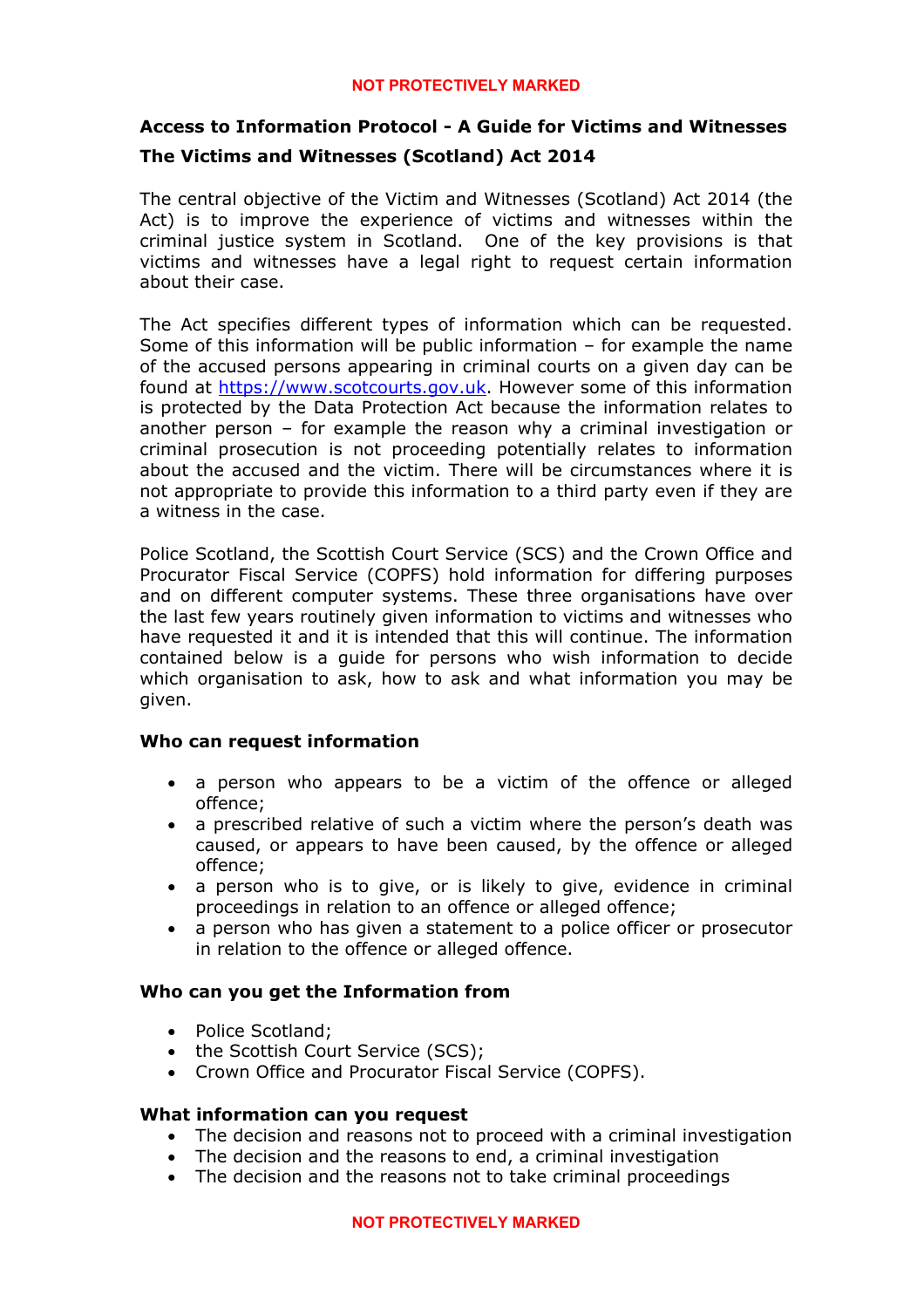# **Access to Information Protocol - A Guide for Victims and Witnesses The Victims and Witnesses (Scotland) Act 2014**

The central objective of the Victim and Witnesses (Scotland) Act 2014 (the Act) is to improve the experience of victims and witnesses within the criminal justice system in Scotland. One of the key provisions is that victims and witnesses have a legal right to request certain information about their case.

The Act specifies different types of information which can be requested. Some of this information will be public information – for example the name of the accused persons appearing in criminal courts on a given day can be found at [https://www.scotcourts.gov.uk](https://www.scotcourts.gov.uk/). However some of this information is protected by the Data Protection Act because the information relates to another person – for example the reason why a criminal investigation or criminal prosecution is not proceeding potentially relates to information about the accused and the victim. There will be circumstances where it is not appropriate to provide this information to a third party even if they are a witness in the case.

Police Scotland, the Scottish Court Service (SCS) and the Crown Office and Procurator Fiscal Service (COPFS) hold information for differing purposes and on different computer systems. These three organisations have over the last few years routinely given information to victims and witnesses who have requested it and it is intended that this will continue. The information contained below is a guide for persons who wish information to decide which organisation to ask, how to ask and what information you may be given.

# **Who can request information**

- a person who appears to be a victim of the offence or alleged offence;
- a prescribed relative of such a victim where the person's death was caused, or appears to have been caused, by the offence or alleged offence;
- a person who is to give, or is likely to give, evidence in criminal proceedings in relation to an offence or alleged offence;
- a person who has given a statement to a police officer or prosecutor in relation to the offence or alleged offence.

# **Who can you get the Information from**

- Police Scotland:
- the Scottish Court Service (SCS);
- Crown Office and Procurator Fiscal Service (COPFS).

# **What information can you request**

- The decision and reasons not to proceed with a criminal investigation
- The decision and the reasons to end, a criminal investigation
- The decision and the reasons not to take criminal proceedings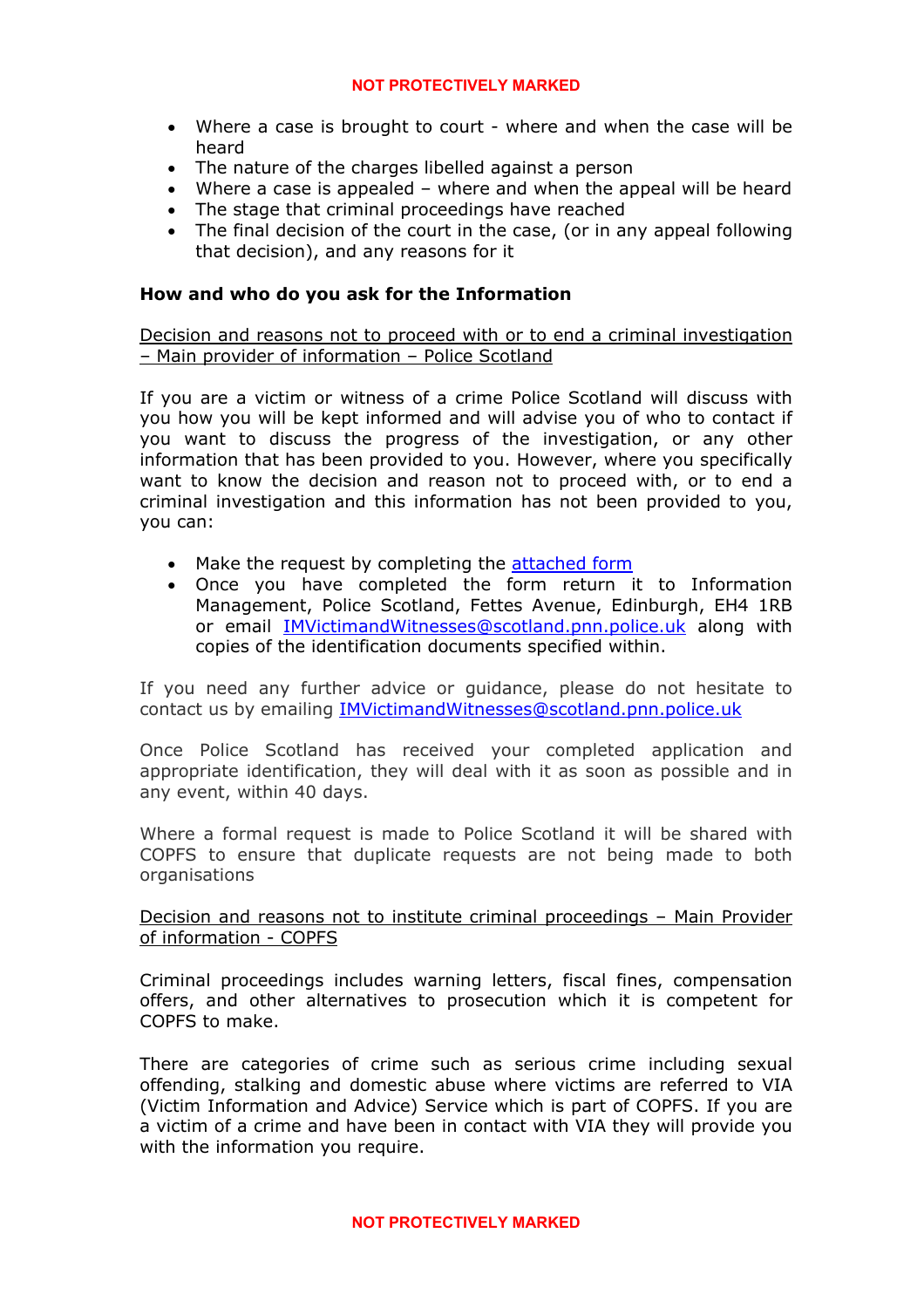- Where a case is brought to court where and when the case will be heard
- The nature of the charges libelled against a person
- Where a case is appealed where and when the appeal will be heard
- The stage that criminal proceedings have reached
- The final decision of the court in the case, (or in any appeal following that decision), and any reasons for it

# **How and who do you ask for the Information**

Decision and reasons not to proceed with or to end a criminal investigation – Main provider of information – Police Scotland

If you are a victim or witness of a crime Police Scotland will discuss with you how you will be kept informed and will advise you of who to contact if you want to discuss the progress of the investigation, or any other information that has been provided to you. However, where you specifically want to know the decision and reason not to proceed with, or to end a criminal investigation and this information has not been provided to you, you can:

- Make the request by completing the [attached form](http://www.scotland.police.uk/assets/pdf/foi-documents/application-form-and-guidance-notes-section-6-vwsa-2014)
- Once you have completed the form return it to Information Management, Police Scotland, Fettes Avenue, Edinburgh, EH4 1RB or email [IMVictimandWitnesses@scotland.pnn.police.uk](mailto:IMVictimandWitnesses@scotland.pnn.police.uk) along with copies of the identification documents specified within.

If you need any further advice or guidance, please do not hesitate to contact us by emailing [IMVictimandWitnesses@scotland.pnn.police.uk](mailto:IMVictimandWitnesses@scotland.pnn.police.uk)

Once Police Scotland has received your completed application and appropriate identification, they will deal with it as soon as possible and in any event, within 40 days.

Where a formal request is made to Police Scotland it will be shared with COPFS to ensure that duplicate requests are not being made to both organisations

# Decision and reasons not to institute criminal proceedings – Main Provider of information - COPFS

Criminal proceedings includes warning letters, fiscal fines, compensation offers, and other alternatives to prosecution which it is competent for COPFS to make.

There are categories of crime such as serious crime including sexual offending, stalking and domestic abuse where victims are referred to VIA (Victim Information and Advice) Service which is part of COPFS. If you are a victim of a crime and have been in contact with VIA they will provide you with the information you require.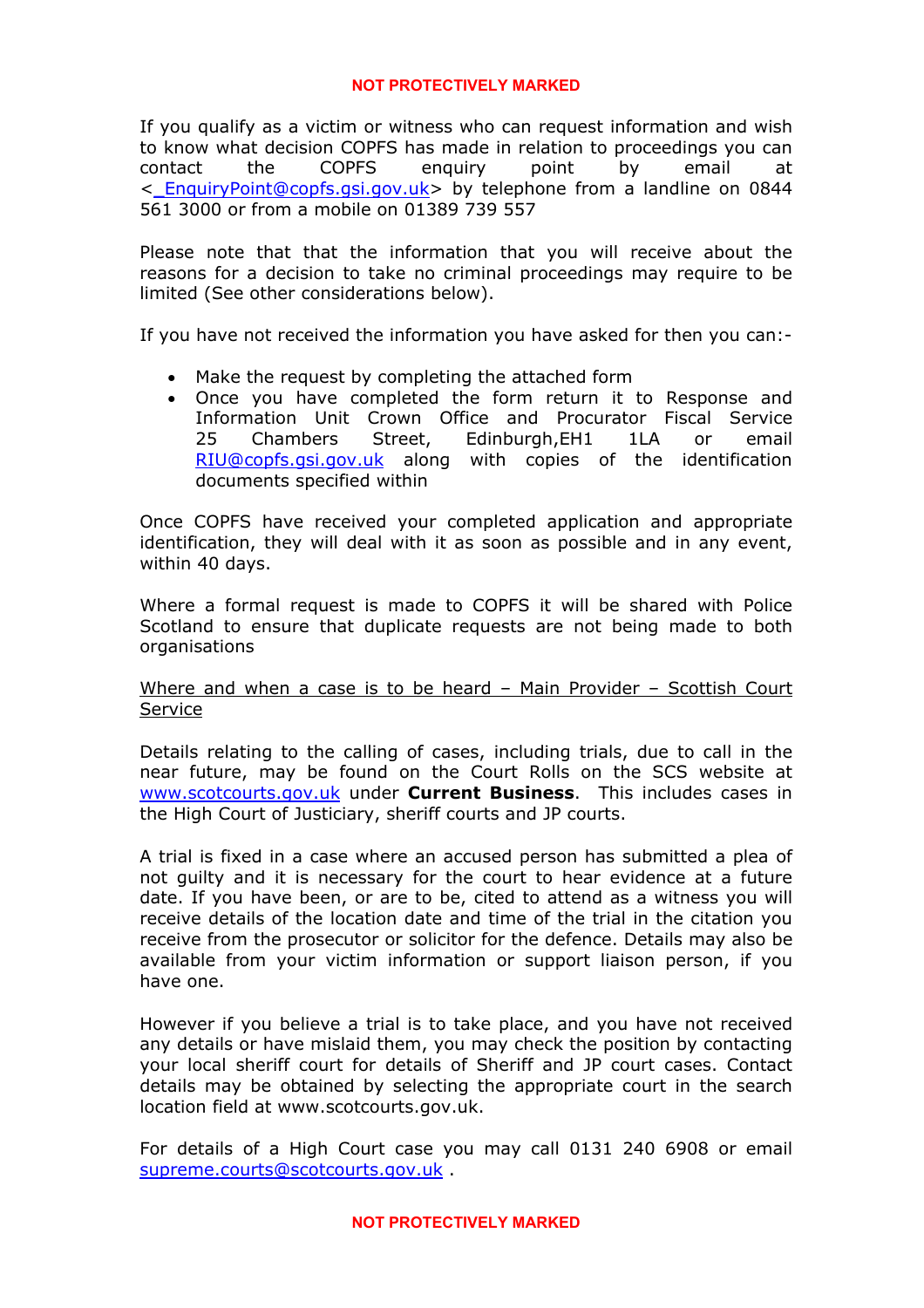If you qualify as a victim or witness who can request information and wish to know what decision COPFS has made in relation to proceedings you can contact the COPFS enquiry point by email at <[\\_EnquiryPoint@copfs.gsi.gov.uk>](mailto:_EnquiryPoint@copfs.gsi.gov.uk) by telephone from a landline on 0844 561 3000 or from a mobile on 01389 739 557

Please note that that the information that you will receive about the reasons for a decision to take no criminal proceedings may require to be limited (See other considerations below).

If you have not received the information you have asked for then you can:-

- Make the request by completing the attached form
- Once you have completed the form return it to Response and Information Unit Crown Office and Procurator Fiscal Service 25 Chambers Street, Edinburgh,EH1 1LA or email [RIU@copfs.gsi.gov.uk](mailto:RIU@copfs.gsi.gov.uk) along with copies of the identification documents specified within

Once COPFS have received your completed application and appropriate identification, they will deal with it as soon as possible and in any event, within 40 days.

Where a formal request is made to COPFS it will be shared with Police Scotland to ensure that duplicate requests are not being made to both organisations

# Where and when a case is to be heard – Main Provider – Scottish Court Service

Details relating to the calling of cases, including trials, due to call in the near future, may be found on the Court Rolls on the SCS website at [www.scotcourts.gov.uk](http://www.scotcourts.gov.uk/) under **Current Business**. This includes cases in the High Court of Justiciary, sheriff courts and JP courts.

A trial is fixed in a case where an accused person has submitted a plea of not guilty and it is necessary for the court to hear evidence at a future date. If you have been, or are to be, cited to attend as a witness you will receive details of the location date and time of the trial in the citation you receive from the prosecutor or solicitor for the defence. Details may also be available from your victim information or support liaison person, if you have one.

However if you believe a trial is to take place, and you have not received any details or have mislaid them, you may check the position by contacting your local sheriff court for details of Sheriff and JP court cases. Contact details may be obtained by selecting the appropriate court in the search location field at www.scotcourts.gov.uk.

For details of a High Court case you may call 0131 240 6908 or email [supreme.courts@scotcourts.gov.uk](mailto:supreme.courts@scotcourts.gov.uk) .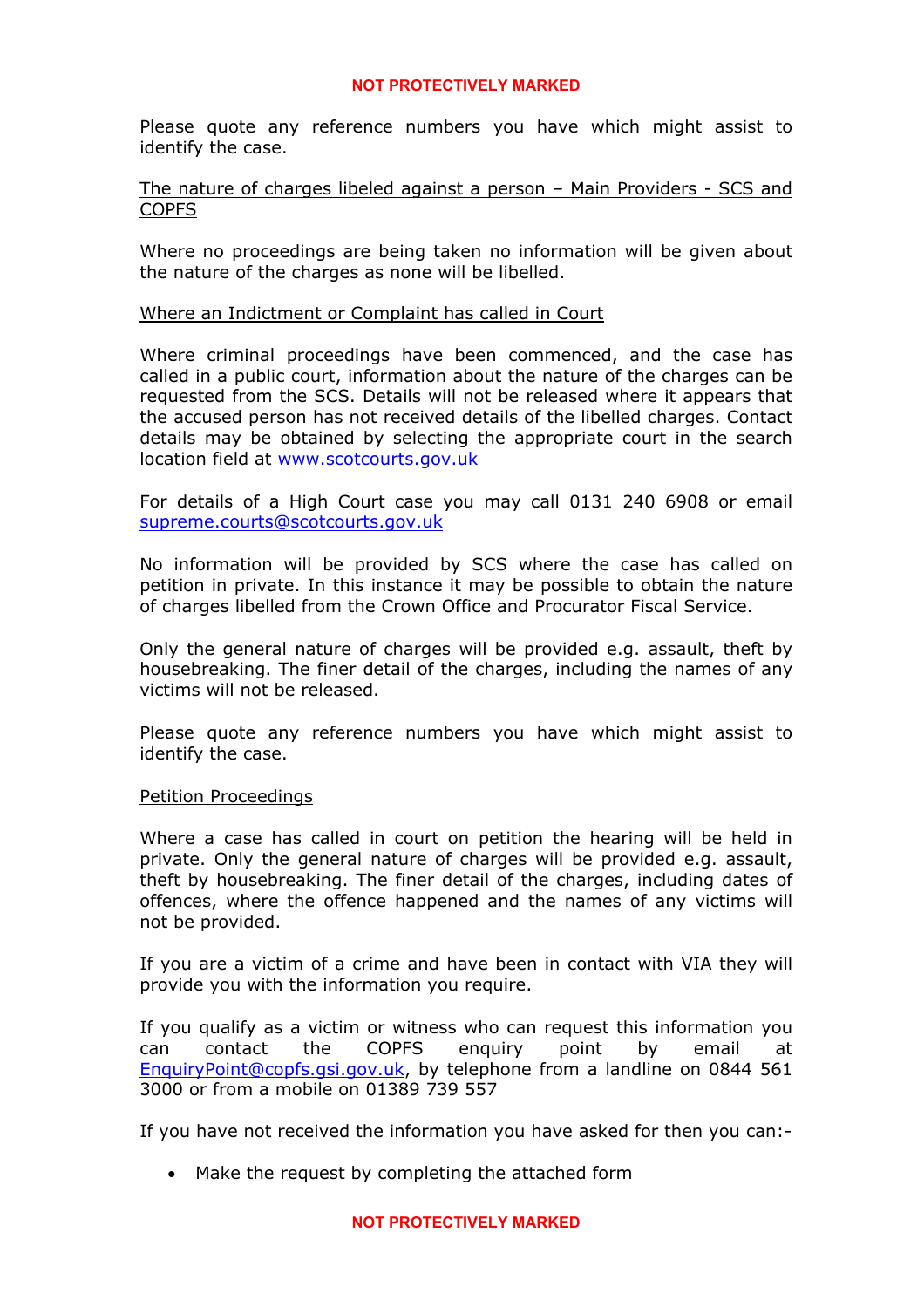Please quote any reference numbers you have which might assist to identify the case.

## The nature of charges libeled against a person – Main Providers - SCS and COPFS

Where no proceedings are being taken no information will be given about the nature of the charges as none will be libelled.

## Where an Indictment or Complaint has called in Court

Where criminal proceedings have been commenced, and the case has called in a public court, information about the nature of the charges can be requested from the SCS. Details will not be released where it appears that the accused person has not received details of the libelled charges. Contact details may be obtained by selecting the appropriate court in the search location field at [www.scotcourts.gov.uk](http://www.scotcourts.gov.uk/)

For details of a High Court case you may call 0131 240 6908 or email [supreme.courts@scotcourts.gov.uk](mailto:supreme.courts@scotcourts.gov.uk)

No information will be provided by SCS where the case has called on petition in private. In this instance it may be possible to obtain the nature of charges libelled from the Crown Office and Procurator Fiscal Service.

Only the general nature of charges will be provided e.g. assault, theft by housebreaking. The finer detail of the charges, including the names of any victims will not be released.

Please quote any reference numbers you have which might assist to identify the case.

# Petition Proceedings

Where a case has called in court on petition the hearing will be held in private. Only the general nature of charges will be provided e.g. assault, theft by housebreaking. The finer detail of the charges, including dates of offences, where the offence happened and the names of any victims will not be provided.

If you are a victim of a crime and have been in contact with VIA they will provide you with the information you require.

If you qualify as a victim or witness who can request this information you can contact the COPFS enquiry point by email at [EnquiryPoint@copfs.gsi.gov.uk,](mailto:EnquiryPoint@copfs.gsi.gov.uk) by telephone from a landline on 0844 561 3000 or from a mobile on 01389 739 557

If you have not received the information you have asked for then you can:-

• Make the request by completing the attached form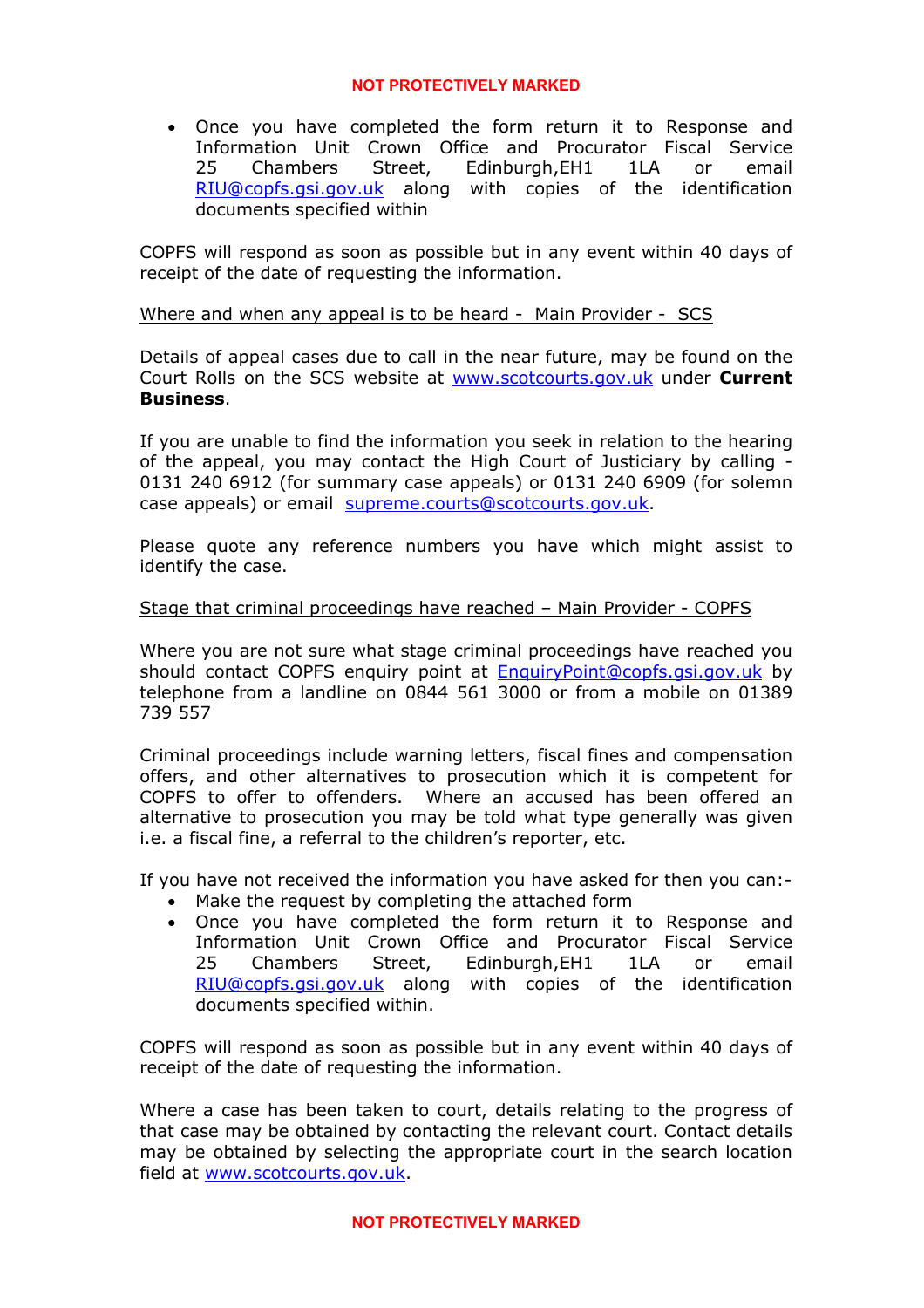• Once you have completed the form return it to Response and Information Unit Crown Office and Procurator Fiscal Service 25 Chambers Street, Edinburgh,EH1 1LA or email [RIU@copfs.gsi.gov.uk](mailto:RIU@copfs.gsi.gov.uk) along with copies of the identification documents specified within

COPFS will respond as soon as possible but in any event within 40 days of receipt of the date of requesting the information.

# Where and when any appeal is to be heard - Main Provider - SCS

Details of appeal cases due to call in the near future, may be found on the Court Rolls on the SCS website at [www.scotcourts.gov.uk](http://www.scotcourts.gov.uk/) under **Current Business**.

If you are unable to find the information you seek in relation to the hearing of the appeal, you may contact the High Court of Justiciary by calling - 0131 240 6912 (for summary case appeals) or 0131 240 6909 (for solemn case appeals) or email [supreme.courts@scotcourts.gov.uk.](mailto:supreme.courts@scotcourts.gov.uk)

Please quote any reference numbers you have which might assist to identify the case.

# Stage that criminal proceedings have reached – Main Provider - COPFS

Where you are not sure what stage criminal proceedings have reached you should contact COPFS enquiry point at [EnquiryPoint@copfs.gsi.gov.uk](mailto:EnquiryPoint@copfs.gsi.gov.uk) by telephone from a landline on 0844 561 3000 or from a mobile on 01389 739 557

Criminal proceedings include warning letters, fiscal fines and compensation offers, and other alternatives to prosecution which it is competent for COPFS to offer to offenders. Where an accused has been offered an alternative to prosecution you may be told what type generally was given i.e. a fiscal fine, a referral to the children's reporter, etc.

If you have not received the information you have asked for then you can:-

- Make the request by completing the attached form
- Once you have completed the form return it to Response and Information Unit Crown Office and Procurator Fiscal Service 25 Chambers Street, Edinburgh,EH1 1LA or email [RIU@copfs.gsi.gov.uk](mailto:RIU@copfs.gsi.gov.uk) along with copies of the identification documents specified within.

COPFS will respond as soon as possible but in any event within 40 days of receipt of the date of requesting the information.

Where a case has been taken to court, details relating to the progress of that case may be obtained by contacting the relevant court. Contact details may be obtained by selecting the appropriate court in the search location field at [www.scotcourts.gov.uk](http://www.scotcourts.gov.uk/).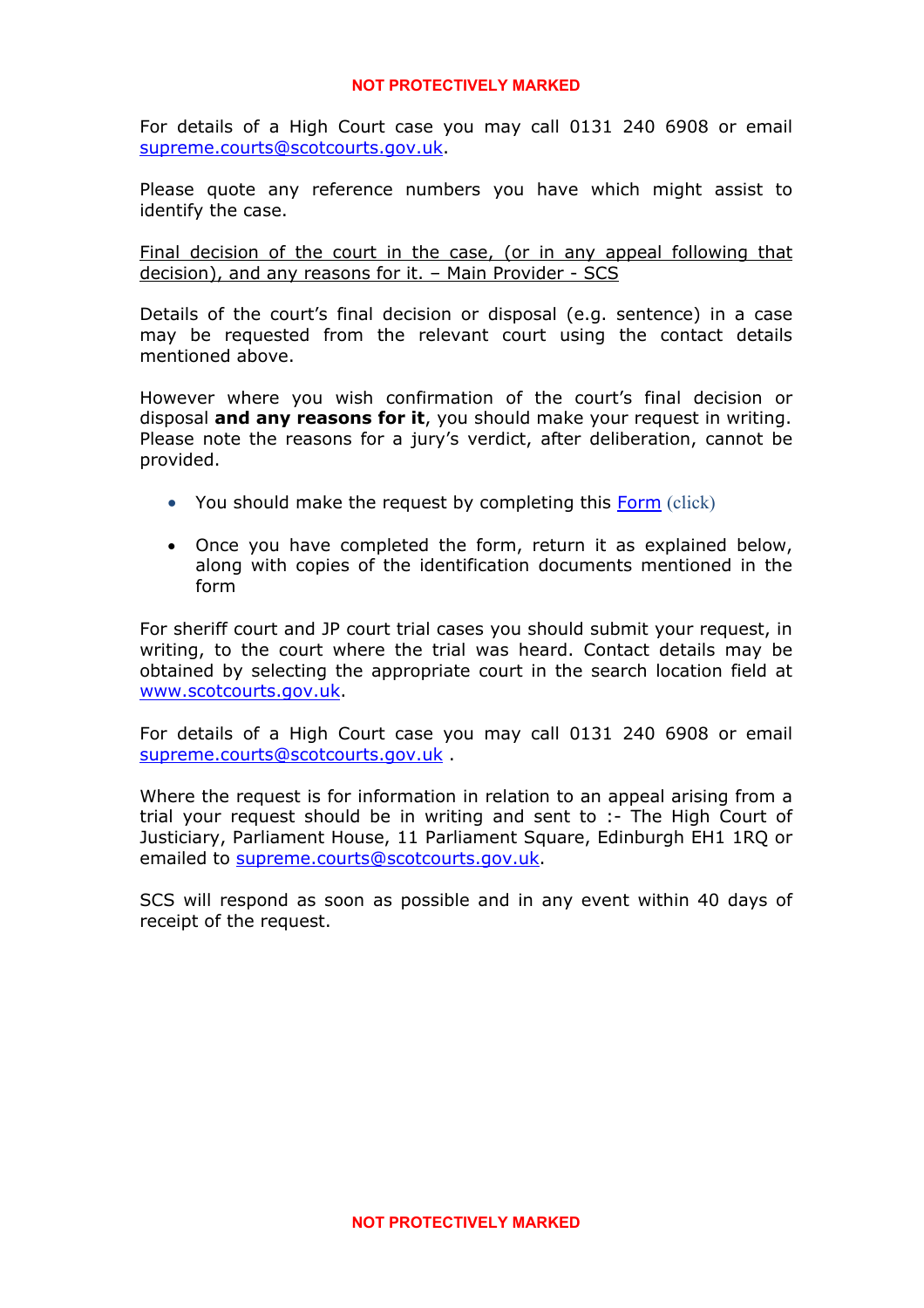For details of a High Court case you may call 0131 240 6908 or email [supreme.courts@scotcourts.gov.uk](mailto:supreme.courts@scotcourts.gov.uk).

Please quote any reference numbers you have which might assist to identify the case.

Final decision of the court in the case, (or in any appeal following that decision), and any reasons for it. – Main Provider - SCS

Details of the court's final decision or disposal (e.g. sentence) in a case may be requested from the relevant court using the contact details mentioned above.

However where you wish confirmation of the court's final decision or disposal **and any reasons for it**, you should make your request in writing. Please note the reasons for a jury's verdict, after deliberation, cannot be provided.

- You should make the request by completing this [Form](http://www.scotcourts.gov.uk/docs/default-source/coming-to-court/s6(7)(j)-request-form.doc?sfvrsn=2) (click)
- Once you have completed the form, return it as explained below, along with copies of the identification documents mentioned in the form

For sheriff court and JP court trial cases you should submit your request, in writing, to the court where the trial was heard. Contact details may be obtained by selecting the appropriate court in the search location field at [www.scotcourts.gov.uk](http://www.scotcourts.gov.uk/).

For details of a High Court case you may call 0131 240 6908 or email [supreme.courts@scotcourts.gov.uk](mailto:supreme.courts@scotcourts.gov.uk) .

Where the request is for information in relation to an appeal arising from a trial your request should be in writing and sent to :- The High Court of Justiciary, Parliament House, 11 Parliament Square, Edinburgh EH1 1RQ or emailed to [supreme.courts@scotcourts.gov.uk](mailto:supreme.courts@scotcourts.gov.uk).

SCS will respond as soon as possible and in any event within 40 days of receipt of the request.